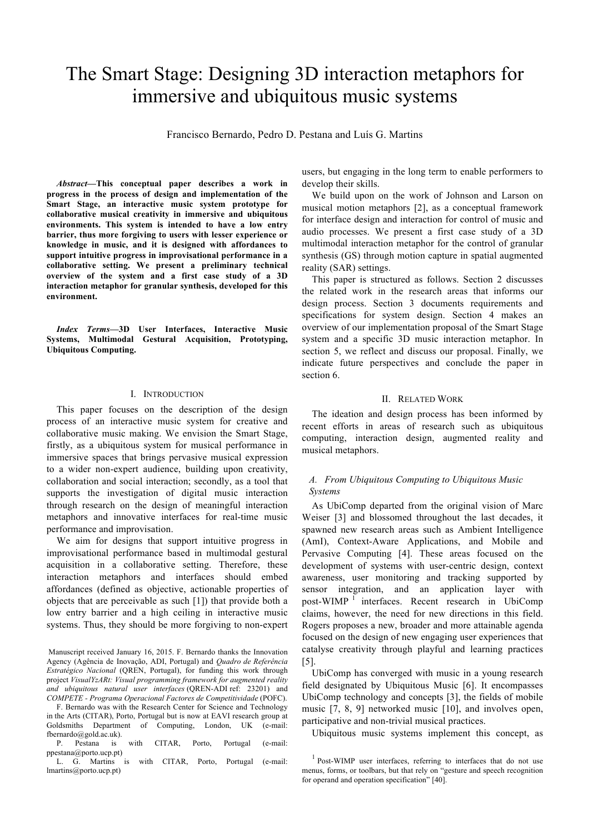# The Smart Stage: Designing 3D interaction metaphors for immersive and ubiquitous music systems

Francisco Bernardo, Pedro D. Pestana and Luís G. Martins

*Abstract***—This conceptual paper describes a work in progress in the process of design and implementation of the Smart Stage, an interactive music system prototype for collaborative musical creativity in immersive and ubiquitous environments. This system is intended to have a low entry barrier, thus more forgiving to users with lesser experience or knowledge in music, and it is designed with affordances to support intuitive progress in improvisational performance in a collaborative setting. We present a preliminary technical overview of the system and a first case study of a 3D interaction metaphor for granular synthesis, developed for this environment.**

*Index Terms***—3D User Interfaces, Interactive Music Systems, Multimodal Gestural Acquisition, Prototyping, Ubiquitous Computing.**

#### I. INTRODUCTION

This paper focuses on the description of the design process of an interactive music system for creative and collaborative music making. We envision the Smart Stage, firstly, as a ubiquitous system for musical performance in immersive spaces that brings pervasive musical expression to a wider non-expert audience, building upon creativity, collaboration and social interaction; secondly, as a tool that supports the investigation of digital music interaction through research on the design of meaningful interaction metaphors and innovative interfaces for real-time music performance and improvisation.

We aim for designs that support intuitive progress in improvisational performance based in multimodal gestural acquisition in a collaborative setting. Therefore, these interaction metaphors and interfaces should embed affordances (defined as objective, actionable properties of objects that are perceivable as such [1]) that provide both a low entry barrier and a high ceiling in interactive music systems. Thus, they should be more forgiving to non-expert

Manuscript received January 16, 2015. F. Bernardo thanks the Innovation Agency (Agência de Inovação, ADI, Portugal) and *Quadro de Referência Estratégico Nacional* (QREN, Portugal), for funding this work through project *VisualYzARt: Visual programming framework for augmented reality and ubiquitous natural user interfaces* (QREN-ADI ref: 23201) and *COMPETE - Programa Operacional Factores de Competitividade* (POFC).

F. Bernardo was with the Research Center for Science and Technology in the Arts (CITAR), Porto, Portugal but is now at EAVI research group at Goldsmiths Department of Computing, London, UK (e-mail: fbernardo@gold.ac.uk).

P. Pestana is with CITAR, Porto, Portugal (e-mail: ppestana@porto.ucp.pt)

L. G. Martins is with CITAR, Porto, Portugal (e-mail: lmartins@porto.ucp.pt)

users, but engaging in the long term to enable performers to develop their skills.

We build upon on the work of Johnson and Larson on musical motion metaphors [2], as a conceptual framework for interface design and interaction for control of music and audio processes. We present a first case study of a 3D multimodal interaction metaphor for the control of granular synthesis (GS) through motion capture in spatial augmented reality (SAR) settings.

This paper is structured as follows. Section 2 discusses the related work in the research areas that informs our design process. Section 3 documents requirements and specifications for system design. Section 4 makes an overview of our implementation proposal of the Smart Stage system and a specific 3D music interaction metaphor. In section 5, we reflect and discuss our proposal. Finally, we indicate future perspectives and conclude the paper in section 6.

### II. RELATED WORK

The ideation and design process has been informed by recent efforts in areas of research such as ubiquitous computing, interaction design, augmented reality and musical metaphors.

# *A. From Ubiquitous Computing to Ubiquitous Music Systems*

As UbiComp departed from the original vision of Marc Weiser [3] and blossomed throughout the last decades, it spawned new research areas such as Ambient Intelligence (AmI), Context-Aware Applications, and Mobile and Pervasive Computing [4]. These areas focused on the development of systems with user-centric design, context awareness, user monitoring and tracking supported by sensor integration, and an application layer with post-WIMP<sup>1</sup> interfaces. Recent research in UbiComp claims, however, the need for new directions in this field. Rogers proposes a new, broader and more attainable agenda focused on the design of new engaging user experiences that catalyse creativity through playful and learning practices [5].

UbiComp has converged with music in a young research field designated by Ubiquitous Music [6]. It encompasses UbiComp technology and concepts [3], the fields of mobile music [7, 8, 9] networked music [10], and involves open, participative and non-trivial musical practices.

Ubiquitous music systems implement this concept, as

<sup>&</sup>lt;sup>1</sup> Post-WIMP user interfaces, referring to interfaces that do not use menus, forms, or toolbars, but that rely on "gesture and speech recognition for operand and operation specification" [40].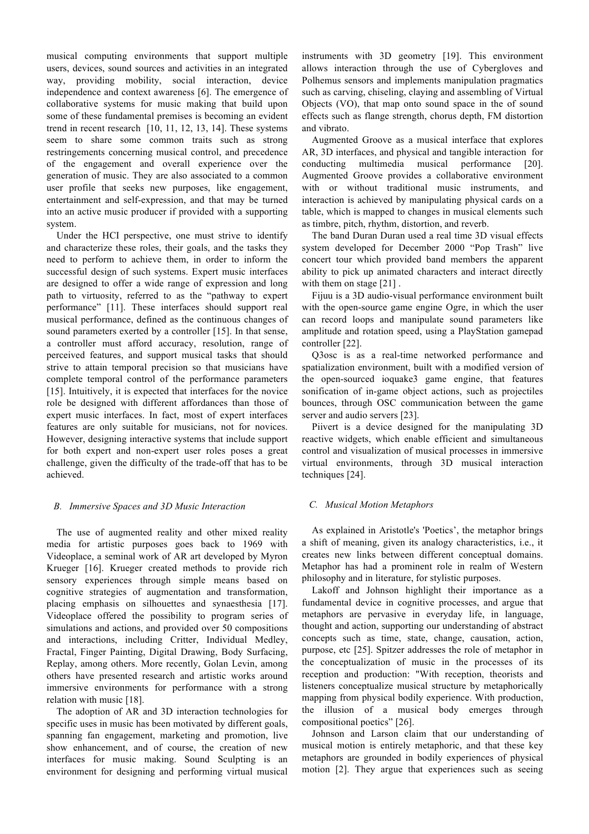musical computing environments that support multiple users, devices, sound sources and activities in an integrated way, providing mobility, social interaction, device independence and context awareness [6]. The emergence of collaborative systems for music making that build upon some of these fundamental premises is becoming an evident trend in recent research [10, 11, 12, 13, 14]. These systems seem to share some common traits such as strong restringements concerning musical control, and precedence of the engagement and overall experience over the generation of music. They are also associated to a common user profile that seeks new purposes, like engagement, entertainment and self-expression, and that may be turned into an active music producer if provided with a supporting system.

Under the HCI perspective, one must strive to identify and characterize these roles, their goals, and the tasks they need to perform to achieve them, in order to inform the successful design of such systems. Expert music interfaces are designed to offer a wide range of expression and long path to virtuosity, referred to as the "pathway to expert performance" [11]. These interfaces should support real musical performance, defined as the continuous changes of sound parameters exerted by a controller [15]. In that sense, a controller must afford accuracy, resolution, range of perceived features, and support musical tasks that should strive to attain temporal precision so that musicians have complete temporal control of the performance parameters [15]. Intuitively, it is expected that interfaces for the novice role be designed with different affordances than those of expert music interfaces. In fact, most of expert interfaces features are only suitable for musicians, not for novices. However, designing interactive systems that include support for both expert and non-expert user roles poses a great challenge, given the difficulty of the trade-off that has to be achieved.

#### *B. Immersive Spaces and 3D Music Interaction*

The use of augmented reality and other mixed reality media for artistic purposes goes back to 1969 with Videoplace, a seminal work of AR art developed by Myron Krueger [16]. Krueger created methods to provide rich sensory experiences through simple means based on cognitive strategies of augmentation and transformation, placing emphasis on silhouettes and synaesthesia [17]. Videoplace offered the possibility to program series of simulations and actions, and provided over 50 compositions and interactions, including Critter, Individual Medley, Fractal, Finger Painting, Digital Drawing, Body Surfacing, Replay, among others. More recently, Golan Levin, among others have presented research and artistic works around immersive environments for performance with a strong relation with music [18].

The adoption of AR and 3D interaction technologies for specific uses in music has been motivated by different goals, spanning fan engagement, marketing and promotion, live show enhancement, and of course, the creation of new interfaces for music making. Sound Sculpting is an environment for designing and performing virtual musical instruments with 3D geometry [19]. This environment allows interaction through the use of Cybergloves and Polhemus sensors and implements manipulation pragmatics such as carving, chiseling, claying and assembling of Virtual Objects (VO), that map onto sound space in the of sound effects such as flange strength, chorus depth, FM distortion and vibrato.

Augmented Groove as a musical interface that explores AR, 3D interfaces, and physical and tangible interaction for conducting multimedia musical performance [20]. Augmented Groove provides a collaborative environment with or without traditional music instruments, and interaction is achieved by manipulating physical cards on a table, which is mapped to changes in musical elements such as timbre, pitch, rhythm, distortion, and reverb.

The band Duran Duran used a real time 3D visual effects system developed for December 2000 "Pop Trash" live concert tour which provided band members the apparent ability to pick up animated characters and interact directly with them on stage [21].

Fijuu is a 3D audio-visual performance environment built with the open-source game engine Ogre, in which the user can record loops and manipulate sound parameters like amplitude and rotation speed, using a PlayStation gamepad controller [22].

Q3osc is as a real-time networked performance and spatialization environment, built with a modified version of the open-sourced ioquake3 game engine, that features sonification of in-game object actions, such as projectiles bounces, through OSC communication between the game server and audio servers [23].

Piivert is a device designed for the manipulating 3D reactive widgets, which enable efficient and simultaneous control and visualization of musical processes in immersive virtual environments, through 3D musical interaction techniques [24].

# *C. Musical Motion Metaphors*

As explained in Aristotle's 'Poetics', the metaphor brings a shift of meaning, given its analogy characteristics, i.e., it creates new links between different conceptual domains. Metaphor has had a prominent role in realm of Western philosophy and in literature, for stylistic purposes.

Lakoff and Johnson highlight their importance as a fundamental device in cognitive processes, and argue that metaphors are pervasive in everyday life, in language, thought and action, supporting our understanding of abstract concepts such as time, state, change, causation, action, purpose, etc [25]. Spitzer addresses the role of metaphor in the conceptualization of music in the processes of its reception and production: "With reception, theorists and listeners conceptualize musical structure by metaphorically mapping from physical bodily experience. With production, the illusion of a musical body emerges through compositional poetics" [26].

Johnson and Larson claim that our understanding of musical motion is entirely metaphoric, and that these key metaphors are grounded in bodily experiences of physical motion [2]. They argue that experiences such as seeing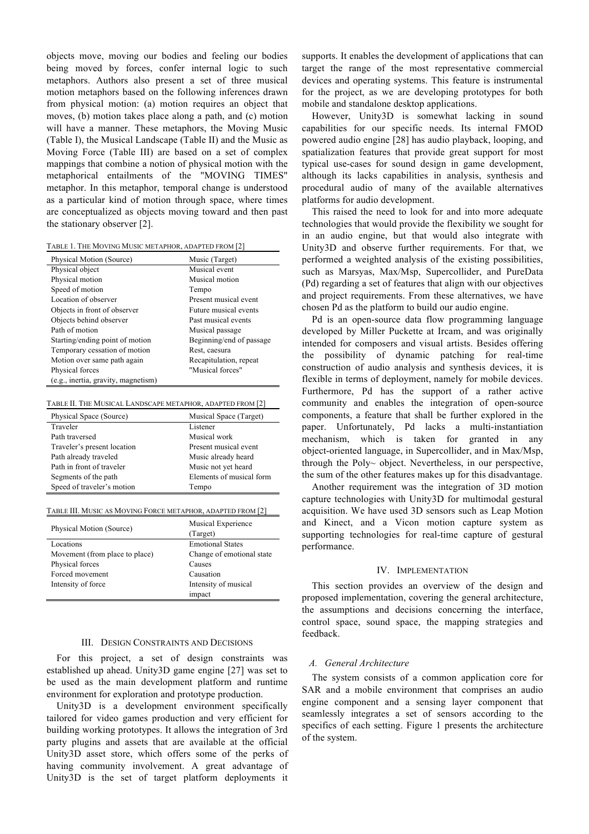objects move, moving our bodies and feeling our bodies being moved by forces, confer internal logic to such metaphors. Authors also present a set of three musical motion metaphors based on the following inferences drawn from physical motion: (a) motion requires an object that moves, (b) motion takes place along a path, and (c) motion will have a manner. These metaphors, the Moving Music (Table I), the Musical Landscape (Table II) and the Music as Moving Force (Table III) are based on a set of complex mappings that combine a notion of physical motion with the metaphorical entailments of the "MOVING TIMES" metaphor. In this metaphor, temporal change is understood as a particular kind of motion through space, where times are conceptualized as objects moving toward and then past the stationary observer [2].

| TABLE 1. THE MOVING MUSIC METAPHOR, ADAPTED FROM [2] |  |  |
|------------------------------------------------------|--|--|
|------------------------------------------------------|--|--|

| Physical Motion (Source)            | Music (Target)           |
|-------------------------------------|--------------------------|
| Physical object                     | Musical event            |
| Physical motion                     | Musical motion           |
| Speed of motion                     | Tempo                    |
| Location of observer                | Present musical event    |
| Objects in front of observer        | Future musical events    |
| Objects behind observer             | Past musical events      |
| Path of motion                      | Musical passage          |
| Starting/ending point of motion     | Beginning/end of passage |
| Temporary cessation of motion       | Rest, caesura            |
| Motion over same path again         | Recapitulation, repeat   |
| Physical forces                     | "Musical forces"         |
| (e.g., inertia, gravity, magnetism) |                          |

TABLE II. THE MUSICAL LANDSCAPE METAPHOR, ADAPTED FROM [2]

| Physical Space (Source)     | Musical Space (Target)   |
|-----------------------------|--------------------------|
| Traveler                    | Listener                 |
| Path traversed              | Musical work             |
| Traveler's present location | Present musical event    |
| Path already traveled       | Music already heard      |
| Path in front of traveler   | Music not yet heard      |
| Segments of the path        | Elements of musical form |
| Speed of traveler's motion  | Tempo                    |

TABLE III. MUSIC AS MOVING FORCE METAPHOR, ADAPTED FROM [2]

| Physical Motion (Source)       | Musical Experience<br>(Target) |
|--------------------------------|--------------------------------|
| Locations                      | <b>Emotional States</b>        |
| Movement (from place to place) | Change of emotional state      |
| Physical forces                | Causes                         |
| Forced movement                | Causation                      |
| Intensity of force             | Intensity of musical           |
|                                | impact                         |

#### III. DESIGN CONSTRAINTS AND DECISIONS

For this project, a set of design constraints was established up ahead. Unity3D game engine [27] was set to be used as the main development platform and runtime environment for exploration and prototype production.

Unity3D is a development environment specifically tailored for video games production and very efficient for building working prototypes. It allows the integration of 3rd party plugins and assets that are available at the official Unity3D asset store, which offers some of the perks of having community involvement. A great advantage of Unity3D is the set of target platform deployments it

supports. It enables the development of applications that can target the range of the most representative commercial devices and operating systems. This feature is instrumental for the project, as we are developing prototypes for both mobile and standalone desktop applications.

However, Unity3D is somewhat lacking in sound capabilities for our specific needs. Its internal FMOD powered audio engine [28] has audio playback, looping, and spatialization features that provide great support for most typical use-cases for sound design in game development, although its lacks capabilities in analysis, synthesis and procedural audio of many of the available alternatives platforms for audio development.

This raised the need to look for and into more adequate technologies that would provide the flexibility we sought for in an audio engine, but that would also integrate with Unity3D and observe further requirements. For that, we performed a weighted analysis of the existing possibilities, such as Marsyas, Max/Msp, Supercollider, and PureData (Pd) regarding a set of features that align with our objectives and project requirements. From these alternatives, we have chosen Pd as the platform to build our audio engine.

Pd is an open-source data flow programming language developed by Miller Puckette at Ircam, and was originally intended for composers and visual artists. Besides offering the possibility of dynamic patching for real-time construction of audio analysis and synthesis devices, it is flexible in terms of deployment, namely for mobile devices. Furthermore, Pd has the support of a rather active community and enables the integration of open-source components, a feature that shall be further explored in the paper. Unfortunately, Pd lacks a multi-instantiation mechanism, which is taken for granted in any object-oriented language, in Supercollider, and in Max/Msp, through the Poly~ object. Nevertheless, in our perspective, the sum of the other features makes up for this disadvantage.

Another requirement was the integration of 3D motion capture technologies with Unity3D for multimodal gestural acquisition. We have used 3D sensors such as Leap Motion and Kinect, and a Vicon motion capture system as supporting technologies for real-time capture of gestural performance.

#### IV. IMPLEMENTATION

This section provides an overview of the design and proposed implementation, covering the general architecture, the assumptions and decisions concerning the interface, control space, sound space, the mapping strategies and feedback.

#### *A. General Architecture*

The system consists of a common application core for SAR and a mobile environment that comprises an audio engine component and a sensing layer component that seamlessly integrates a set of sensors according to the specifics of each setting. Figure 1 presents the architecture of the system.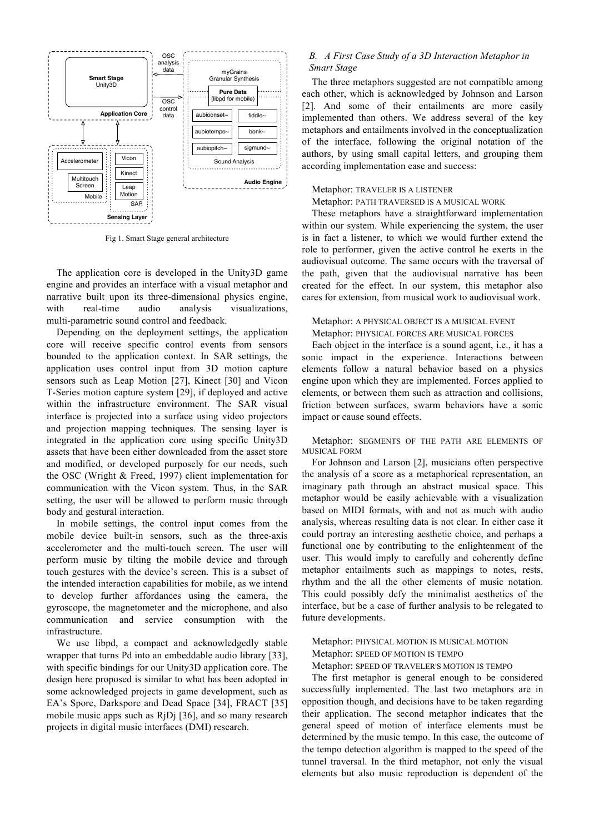

Fig 1. Smart Stage general architecture

The application core is developed in the Unity3D game engine and provides an interface with a visual metaphor and narrative built upon its three-dimensional physics engine, with real-time audio analysis visualizations, multi-parametric sound control and feedback.

Depending on the deployment settings, the application core will receive specific control events from sensors bounded to the application context. In SAR settings, the application uses control input from 3D motion capture sensors such as Leap Motion [27], Kinect [30] and Vicon T-Series motion capture system [29], if deployed and active within the infrastructure environment. The SAR visual interface is projected into a surface using video projectors and projection mapping techniques. The sensing layer is integrated in the application core using specific Unity3D assets that have been either downloaded from the asset store and modified, or developed purposely for our needs, such the OSC (Wright & Freed, 1997) client implementation for communication with the Vicon system. Thus, in the SAR setting, the user will be allowed to perform music through body and gestural interaction.

In mobile settings, the control input comes from the mobile device built-in sensors, such as the three-axis accelerometer and the multi-touch screen. The user will perform music by tilting the mobile device and through touch gestures with the device's screen. This is a subset of the intended interaction capabilities for mobile, as we intend to develop further affordances using the camera, the gyroscope, the magnetometer and the microphone, and also communication and service consumption with the infrastructure.

We use libpd, a compact and acknowledgedly stable wrapper that turns Pd into an embeddable audio library [33], with specific bindings for our Unity3D application core. The design here proposed is similar to what has been adopted in some acknowledged projects in game development, such as EA's Spore, Darkspore and Dead Space [34], FRACT [35] mobile music apps such as RjDj [36], and so many research projects in digital music interfaces (DMI) research.

#### *B. A First Case Study of a 3D Interaction Metaphor in Smart Stage*

The three metaphors suggested are not compatible among each other, which is acknowledged by Johnson and Larson [2]. And some of their entailments are more easily implemented than others. We address several of the key metaphors and entailments involved in the conceptualization of the interface, following the original notation of the authors, by using small capital letters, and grouping them according implementation ease and success:

#### Metaphor: TRAVELER IS A LISTENER

#### Metaphor: PATH TRAVERSED IS A MUSICAL WORK

These metaphors have a straightforward implementation within our system. While experiencing the system, the user is in fact a listener, to which we would further extend the role to performer, given the active control he exerts in the audiovisual outcome. The same occurs with the traversal of the path, given that the audiovisual narrative has been created for the effect. In our system, this metaphor also cares for extension, from musical work to audiovisual work.

#### Metaphor: A PHYSICAL OBJECT IS A MUSICAL EVENT Metaphor: PHYSICAL FORCES ARE MUSICAL FORCES

Each object in the interface is a sound agent, i.e., it has a sonic impact in the experience. Interactions between elements follow a natural behavior based on a physics engine upon which they are implemented. Forces applied to elements, or between them such as attraction and collisions, friction between surfaces, swarm behaviors have a sonic impact or cause sound effects.

Metaphor: SEGMENTS OF THE PATH ARE ELEMENTS OF MUSICAL FORM

For Johnson and Larson [2], musicians often perspective the analysis of a score as a metaphorical representation, an imaginary path through an abstract musical space. This metaphor would be easily achievable with a visualization based on MIDI formats, with and not as much with audio analysis, whereas resulting data is not clear. In either case it could portray an interesting aesthetic choice, and perhaps a functional one by contributing to the enlightenment of the user. This would imply to carefully and coherently define metaphor entailments such as mappings to notes, rests, rhythm and the all the other elements of music notation. This could possibly defy the minimalist aesthetics of the interface, but be a case of further analysis to be relegated to future developments.

Metaphor: PHYSICAL MOTION IS MUSICAL MOTION Metaphor: SPEED OF MOTION IS TEMPO

Metaphor: SPEED OF TRAVELER'S MOTION IS TEMPO

The first metaphor is general enough to be considered successfully implemented. The last two metaphors are in opposition though, and decisions have to be taken regarding their application. The second metaphor indicates that the general speed of motion of interface elements must be determined by the music tempo. In this case, the outcome of the tempo detection algorithm is mapped to the speed of the tunnel traversal. In the third metaphor, not only the visual elements but also music reproduction is dependent of the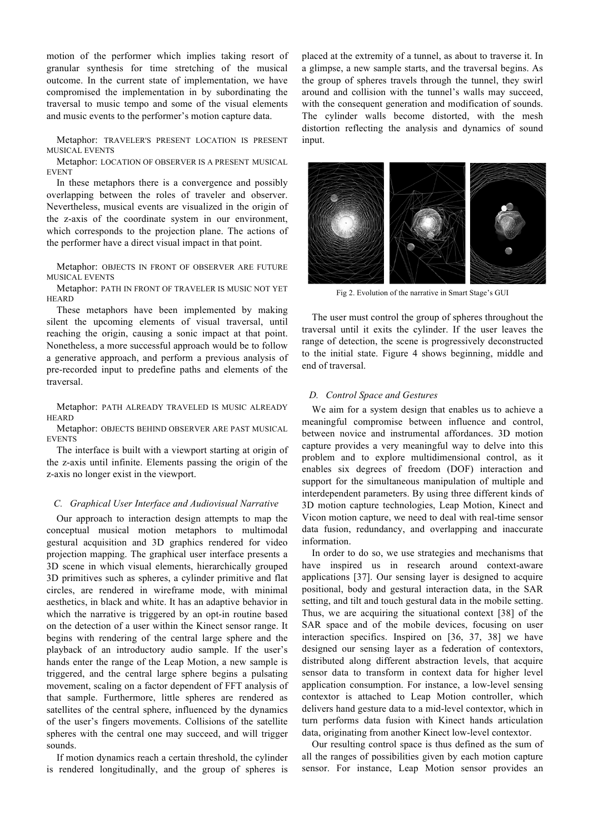motion of the performer which implies taking resort of granular synthesis for time stretching of the musical outcome. In the current state of implementation, we have compromised the implementation in by subordinating the traversal to music tempo and some of the visual elements and music events to the performer's motion capture data.

Metaphor: TRAVELER'S PRESENT LOCATION IS PRESENT MUSICAL EVENTS

Metaphor: LOCATION OF OBSERVER IS A PRESENT MUSICAL EVENT

In these metaphors there is a convergence and possibly overlapping between the roles of traveler and observer. Nevertheless, musical events are visualized in the origin of the z-axis of the coordinate system in our environment, which corresponds to the projection plane. The actions of the performer have a direct visual impact in that point.

Metaphor: OBJECTS IN FRONT OF OBSERVER ARE FUTURE MUSICAL EVENTS

Metaphor: PATH IN FRONT OF TRAVELER IS MUSIC NOT YET **HEARD** 

These metaphors have been implemented by making silent the upcoming elements of visual traversal, until reaching the origin, causing a sonic impact at that point. Nonetheless, a more successful approach would be to follow a generative approach, and perform a previous analysis of pre-recorded input to predefine paths and elements of the traversal.

Metaphor: PATH ALREADY TRAVELED IS MUSIC ALREADY **HEARD** 

Metaphor: OBJECTS BEHIND OBSERVER ARE PAST MUSICAL EVENTS

The interface is built with a viewport starting at origin of the z-axis until infinite. Elements passing the origin of the z-axis no longer exist in the viewport.

#### *C. Graphical User Interface and Audiovisual Narrative*

Our approach to interaction design attempts to map the conceptual musical motion metaphors to multimodal gestural acquisition and 3D graphics rendered for video projection mapping. The graphical user interface presents a 3D scene in which visual elements, hierarchically grouped 3D primitives such as spheres, a cylinder primitive and flat circles, are rendered in wireframe mode, with minimal aesthetics, in black and white. It has an adaptive behavior in which the narrative is triggered by an opt-in routine based on the detection of a user within the Kinect sensor range. It begins with rendering of the central large sphere and the playback of an introductory audio sample. If the user's hands enter the range of the Leap Motion, a new sample is triggered, and the central large sphere begins a pulsating movement, scaling on a factor dependent of FFT analysis of that sample. Furthermore, little spheres are rendered as satellites of the central sphere, influenced by the dynamics of the user's fingers movements. Collisions of the satellite spheres with the central one may succeed, and will trigger sounds.

If motion dynamics reach a certain threshold, the cylinder is rendered longitudinally, and the group of spheres is placed at the extremity of a tunnel, as about to traverse it. In a glimpse, a new sample starts, and the traversal begins. As the group of spheres travels through the tunnel, they swirl around and collision with the tunnel's walls may succeed, with the consequent generation and modification of sounds. The cylinder walls become distorted, with the mesh distortion reflecting the analysis and dynamics of sound input.



Fig 2. Evolution of the narrative in Smart Stage's GUI

The user must control the group of spheres throughout the traversal until it exits the cylinder. If the user leaves the range of detection, the scene is progressively deconstructed to the initial state. Figure 4 shows beginning, middle and end of traversal.

#### *D. Control Space and Gestures*

We aim for a system design that enables us to achieve a meaningful compromise between influence and control, between novice and instrumental affordances. 3D motion capture provides a very meaningful way to delve into this problem and to explore multidimensional control, as it enables six degrees of freedom (DOF) interaction and support for the simultaneous manipulation of multiple and interdependent parameters. By using three different kinds of 3D motion capture technologies, Leap Motion, Kinect and Vicon motion capture, we need to deal with real-time sensor data fusion, redundancy, and overlapping and inaccurate information.

In order to do so, we use strategies and mechanisms that have inspired us in research around context-aware applications [37]. Our sensing layer is designed to acquire positional, body and gestural interaction data, in the SAR setting, and tilt and touch gestural data in the mobile setting. Thus, we are acquiring the situational context [38] of the SAR space and of the mobile devices, focusing on user interaction specifics. Inspired on [36, 37, 38] we have designed our sensing layer as a federation of contextors, distributed along different abstraction levels, that acquire sensor data to transform in context data for higher level application consumption. For instance, a low-level sensing contextor is attached to Leap Motion controller, which delivers hand gesture data to a mid-level contextor, which in turn performs data fusion with Kinect hands articulation data, originating from another Kinect low-level contextor.

Our resulting control space is thus defined as the sum of all the ranges of possibilities given by each motion capture sensor. For instance, Leap Motion sensor provides an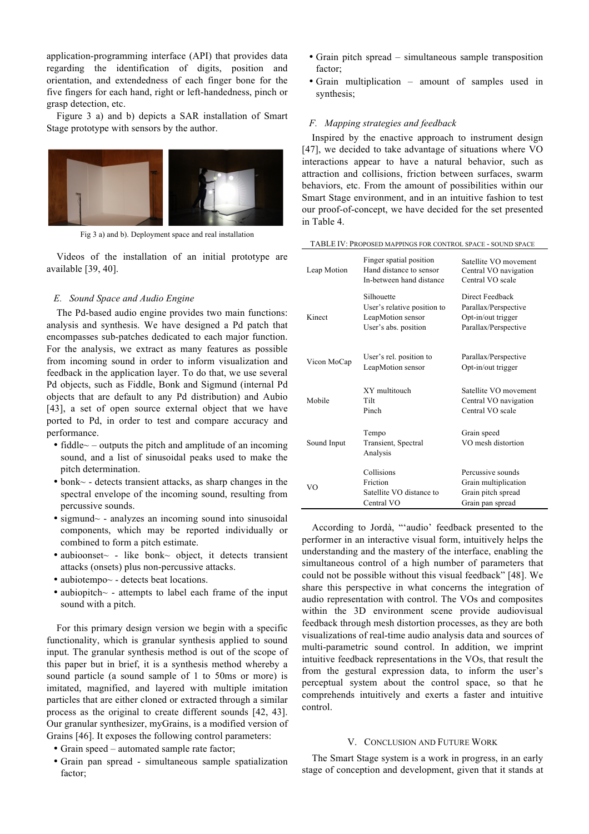application-programming interface (API) that provides data regarding the identification of digits, position and orientation, and extendedness of each finger bone for the five fingers for each hand, right or left-handedness, pinch or grasp detection, etc.

Figure 3 a) and b) depicts a SAR installation of Smart Stage prototype with sensors by the author.



Fig 3 a) and b). Deployment space and real installation

Videos of the installation of an initial prototype are available [39, 40].

# *E. Sound Space and Audio Engine*

The Pd-based audio engine provides two main functions: analysis and synthesis. We have designed a Pd patch that encompasses sub-patches dedicated to each major function. For the analysis, we extract as many features as possible from incoming sound in order to inform visualization and feedback in the application layer. To do that, we use several Pd objects, such as Fiddle, Bonk and Sigmund (internal Pd objects that are default to any Pd distribution) and Aubio [43], a set of open source external object that we have ported to Pd, in order to test and compare accuracy and performance.

- fiddle $\sim$  outputs the pitch and amplitude of an incoming sound, and a list of sinusoidal peaks used to make the pitch determination.
- bonk~ detects transient attacks, as sharp changes in the spectral envelope of the incoming sound, resulting from percussive sounds.
- sigmund~ analyzes an incoming sound into sinusoidal components, which may be reported individually or combined to form a pitch estimate.
- aubioonset~ like bonk~ object, it detects transient attacks (onsets) plus non-percussive attacks.
- aubiotempo~ detects beat locations.
- aubiopitch~ attempts to label each frame of the input sound with a pitch.

For this primary design version we begin with a specific functionality, which is granular synthesis applied to sound input. The granular synthesis method is out of the scope of this paper but in brief, it is a synthesis method whereby a sound particle (a sound sample of 1 to 50ms or more) is imitated, magnified, and layered with multiple imitation particles that are either cloned or extracted through a similar process as the original to create different sounds [42, 43]. Our granular synthesizer, myGrains, is a modified version of Grains [46]. It exposes the following control parameters:

- Grain speed automated sample rate factor;
- Grain pan spread simultaneous sample spatialization factor;
- Grain pitch spread simultaneous sample transposition factor;
- Grain multiplication amount of samples used in synthesis;

#### *F. Mapping strategies and feedback*

Inspired by the enactive approach to instrument design [47], we decided to take advantage of situations where VO interactions appear to have a natural behavior, such as attraction and collisions, friction between surfaces, swarm behaviors, etc. From the amount of possibilities within our Smart Stage environment, and in an intuitive fashion to test our proof-of-concept, we have decided for the set presented in Table 4.

| Leap Motion | Finger spatial position<br>Hand distance to sensor<br>In-between hand distance         | Satellite VO movement<br>Central VO navigation<br>Central VO scale                    |
|-------------|----------------------------------------------------------------------------------------|---------------------------------------------------------------------------------------|
| Kinect      | Silhouette<br>User's relative position to<br>LeapMotion sensor<br>User's abs. position | Direct Feedback<br>Parallax/Perspective<br>Opt-in/out trigger<br>Parallax/Perspective |
| Vicon MoCap | User's rel. position to<br>LeapMotion sensor                                           | Parallax/Perspective<br>Opt-in/out trigger                                            |
| Mobile      | XY multitouch<br>Tilt<br>Pinch                                                         | Satellite VO movement<br>Central VO navigation<br>Central VO scale                    |
| Sound Input | Tempo<br>Transient, Spectral<br>Analysis                                               | Grain speed<br>VO mesh distortion                                                     |
| VΟ          | Collisions<br>Friction<br>Satellite VO distance to<br>Central VO                       | Percussive sounds<br>Grain multiplication<br>Grain pitch spread<br>Grain pan spread   |

According to Jordà, "'audio' feedback presented to the performer in an interactive visual form, intuitively helps the understanding and the mastery of the interface, enabling the simultaneous control of a high number of parameters that could not be possible without this visual feedback" [48]. We share this perspective in what concerns the integration of audio representation with control. The VOs and composites within the 3D environment scene provide audiovisual feedback through mesh distortion processes, as they are both visualizations of real-time audio analysis data and sources of multi-parametric sound control. In addition, we imprint intuitive feedback representations in the VOs, that result the from the gestural expression data, to inform the user's perceptual system about the control space, so that he comprehends intuitively and exerts a faster and intuitive control.

#### V. CONCLUSION AND FUTURE WORK

The Smart Stage system is a work in progress, in an early stage of conception and development, given that it stands at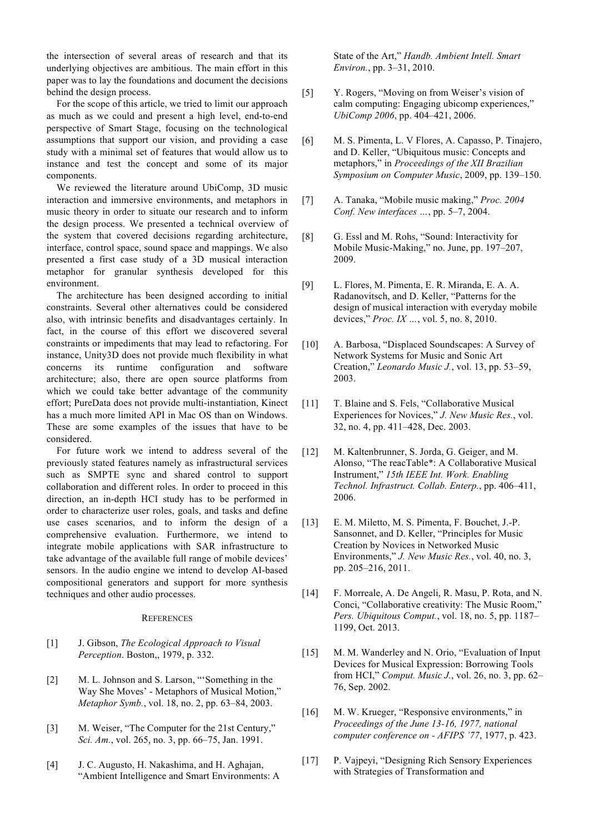the intersection of several areas of research and that its underlying objectives are ambitious. The main effort in this paper was to lay the foundations and document the decisions behind the design process.

For the scope of this article, we tried to limit our approach as much as we could and present a high level, end-to-end perspective of Smart Stage, focusing on the technological assumptions that support our vision, and providing a case study with a minimal set of features that would allow us to instance and test the concept and some of its major components.

We reviewed the literature around UbiComp, 3D music interaction and immersive environments, and metaphors in music theory in order to situate our research and to inform the design process. We presented a technical overview of the system that covered decisions regarding architecture, interface, control space, sound space and mappings. We also presented a first case study of a 3D musical interaction metaphor for granular synthesis developed for this environment.

The architecture has been designed according to initial constraints. Several other alternatives could be considered also, with intrinsic benefits and disadvantages certainly. In fact, in the course of this effort we discovered several constraints or impediments that may lead to refactoring. For instance, Unity3D does not provide much flexibility in what concerns its runtime configuration and software architecture; also, there are open source platforms from which we could take better advantage of the community effort; PureData does not provide multi-instantiation, Kinect has a much more limited API in Mac OS than on Windows. These are some examples of the issues that have to be considered.

For future work we intend to address several of the previously stated features namely as infrastructural services such as SMPTE sync and shared control to support collaboration and different roles. In order to proceed in this direction, an in-depth HCI study has to be performed in order to characterize user roles, goals, and tasks and define use cases scenarios, and to inform the design of a comprehensive evaluation. Furthermore, we intend to integrate mobile applications with SAR infrastructure to take advantage of the available full range of mobile devices' sensors. In the audio engine we intend to develop AI-based compositional generators and support for more synthesis techniques and other audio processes.

#### **REFERENCES**

- [1] J. Gibson, *The Ecological Approach to Visual Perception*. Boston,, 1979, p. 332.
- [2] M. L. Johnson and S. Larson, "'Something in the Way She Moves' - Metaphors of Musical Motion," *Metaphor Symb.*, vol. 18, no. 2, pp. 63–84, 2003.
- [3] M. Weiser, "The Computer for the 21st Century," *Sci. Am.*, vol. 265, no. 3, pp. 66–75, Jan. 1991.
- [4] J. C. Augusto, H. Nakashima, and H. Aghajan, "Ambient Intelligence and Smart Environments: A

State of the Art," *Handb. Ambient Intell. Smart Environ.*, pp. 3–31, 2010.

- [5] Y. Rogers, "Moving on from Weiser's vision of calm computing: Engaging ubicomp experiences," *UbiComp 2006*, pp. 404–421, 2006.
- [6] M. S. Pimenta, L. V Flores, A. Capasso, P. Tinajero, and D. Keller, "Ubiquitous music: Concepts and metaphors," in *Proceedings of the XII Brazilian Symposium on Computer Music*, 2009, pp. 139–150.
- [7] A. Tanaka, "Mobile music making," *Proc. 2004 Conf. New interfaces …*, pp. 5–7, 2004.
- [8] G. Essl and M. Rohs, "Sound: Interactivity for Mobile Music-Making," no. June, pp. 197–207, 2009.
- [9] L. Flores, M. Pimenta, E. R. Miranda, E. A. A. Radanovitsch, and D. Keller, "Patterns for the design of musical interaction with everyday mobile devices," *Proc. IX …*, vol. 5, no. 8, 2010.
- [10] A. Barbosa, "Displaced Soundscapes: A Survey of Network Systems for Music and Sonic Art Creation," *Leonardo Music J.*, vol. 13, pp. 53–59, 2003.
- [11] T. Blaine and S. Fels, "Collaborative Musical Experiences for Novices," *J. New Music Res.*, vol. 32, no. 4, pp. 411–428, Dec. 2003.
- [12] M. Kaltenbrunner, S. Jorda, G. Geiger, and M. Alonso, "The reacTable\*: A Collaborative Musical Instrument," *15th IEEE Int. Work. Enabling Technol. Infrastruct. Collab. Enterp.*, pp. 406–411, 2006.
- [13] E. M. Miletto, M. S. Pimenta, F. Bouchet, J.-P. Sansonnet, and D. Keller, "Principles for Music Creation by Novices in Networked Music Environments," *J. New Music Res.*, vol. 40, no. 3, pp. 205–216, 2011.
- [14] F. Morreale, A. De Angeli, R. Masu, P. Rota, and N. Conci, "Collaborative creativity: The Music Room," *Pers. Ubiquitous Comput.*, vol. 18, no. 5, pp. 1187– 1199, Oct. 2013.
- [15] M. M. Wanderley and N. Orio, "Evaluation of Input Devices for Musical Expression: Borrowing Tools from HCI," *Comput. Music J.*, vol. 26, no. 3, pp. 62– 76, Sep. 2002.
- [16] M. W. Krueger, "Responsive environments," in *Proceedings of the June 13-16, 1977, national computer conference on - AFIPS '77*, 1977, p. 423.
- [17] P. Vajpeyi, "Designing Rich Sensory Experiences with Strategies of Transformation and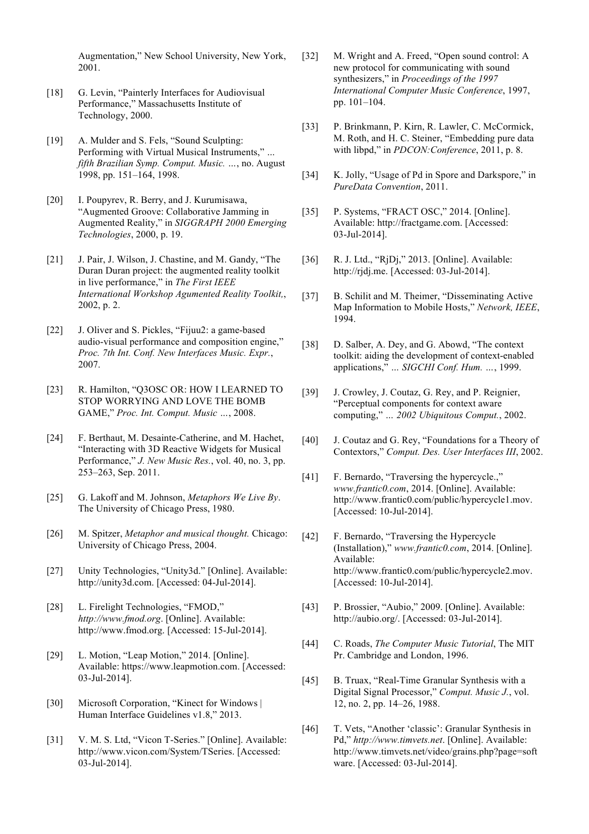Augmentation," New School University, New York, 2001.

- [18] G. Levin, "Painterly Interfaces for Audiovisual Performance," Massachusetts Institute of Technology, 2000.
- [19] A. Mulder and S. Fels, "Sound Sculpting: Performing with Virtual Musical Instruments," *… fifth Brazilian Symp. Comput. Music. …*, no. August 1998, pp. 151–164, 1998.
- [20] I. Poupyrev, R. Berry, and J. Kurumisawa, "Augmented Groove: Collaborative Jamming in Augmented Reality," in *SIGGRAPH 2000 Emerging Technologies*, 2000, p. 19.
- [21] J. Pair, J. Wilson, J. Chastine, and M. Gandy, "The Duran Duran project: the augmented reality toolkit in live performance," in *The First IEEE International Workshop Agumented Reality Toolkit,*, 2002, p. 2.
- [22] J. Oliver and S. Pickles, "Fijuu2: a game-based audio-visual performance and composition engine," *Proc. 7th Int. Conf. New Interfaces Music. Expr.*, 2007.
- [23] R. Hamilton, "Q3OSC OR: HOW I LEARNED TO STOP WORRYING AND LOVE THE BOMB GAME," *Proc. Int. Comput. Music …*, 2008.
- [24] F. Berthaut, M. Desainte-Catherine, and M. Hachet, "Interacting with 3D Reactive Widgets for Musical Performance," *J. New Music Res.*, vol. 40, no. 3, pp. 253–263, Sep. 2011.
- [25] G. Lakoff and M. Johnson, *Metaphors We Live By*. The University of Chicago Press, 1980.
- [26] M. Spitzer, *Metaphor and musical thought.* Chicago: University of Chicago Press, 2004.
- [27] Unity Technologies, "Unity3d." [Online]. Available: http://unity3d.com. [Accessed: 04-Jul-2014].
- [28] L. Firelight Technologies, "FMOD," *http://www.fmod.org*. [Online]. Available: http://www.fmod.org. [Accessed: 15-Jul-2014].
- [29] L. Motion, "Leap Motion," 2014. [Online]. Available: https://www.leapmotion.com. [Accessed: 03-Jul-2014].
- [30] Microsoft Corporation, "Kinect for Windows | Human Interface Guidelines v1.8," 2013.
- [31] V. M. S. Ltd, "Vicon T-Series." [Online]. Available: http://www.vicon.com/System/TSeries. [Accessed: 03-Jul-2014].
- [32] M. Wright and A. Freed, "Open sound control: A new protocol for communicating with sound synthesizers," in *Proceedings of the 1997 International Computer Music Conference*, 1997, pp. 101–104.
- [33] P. Brinkmann, P. Kirn, R. Lawler, C. McCormick, M. Roth, and H. C. Steiner, "Embedding pure data with libpd," in *PDCON:Conference*, 2011, p. 8.
- [34] K. Jolly, "Usage of Pd in Spore and Darkspore," in *PureData Convention*, 2011.
- [35] P. Systems, "FRACT OSC," 2014. [Online]. Available: http://fractgame.com. [Accessed: 03-Jul-2014].
- [36] R. J. Ltd., "RjDj," 2013. [Online]. Available: http://rjdj.me. [Accessed: 03-Jul-2014].
- [37] B. Schilit and M. Theimer, "Disseminating Active Map Information to Mobile Hosts," *Network, IEEE*, 1994.
- [38] D. Salber, A. Dey, and G. Abowd, "The context" toolkit: aiding the development of context-enabled applications," *… SIGCHI Conf. Hum. …*, 1999.
- [39] J. Crowley, J. Coutaz, G. Rey, and P. Reignier, "Perceptual components for context aware computing," *… 2002 Ubiquitous Comput.*, 2002.
- [40] J. Coutaz and G. Rey, "Foundations for a Theory of Contextors," *Comput. Des. User Interfaces III*, 2002.
- [41] F. Bernardo, "Traversing the hypercycle.," *www.frantic0.com*, 2014. [Online]. Available: http://www.frantic0.com/public/hypercycle1.mov. [Accessed: 10-Jul-2014].
- [42] F. Bernardo, "Traversing the Hypercycle (Installation)," *www.frantic0.com*, 2014. [Online]. Available: http://www.frantic0.com/public/hypercycle2.mov. [Accessed: 10-Jul-2014].
- [43] P. Brossier, "Aubio," 2009. [Online]. Available: http://aubio.org/. [Accessed: 03-Jul-2014].
- [44] C. Roads, *The Computer Music Tutorial*, The MIT Pr. Cambridge and London, 1996.
- [45] B. Truax, "Real-Time Granular Synthesis with a Digital Signal Processor," *Comput. Music J.*, vol. 12, no. 2, pp. 14–26, 1988.
- [46] T. Vets, "Another 'classic': Granular Synthesis in Pd," *http://www.timvets.net*. [Online]. Available: http://www.timvets.net/video/grains.php?page=soft ware. [Accessed: 03-Jul-2014].